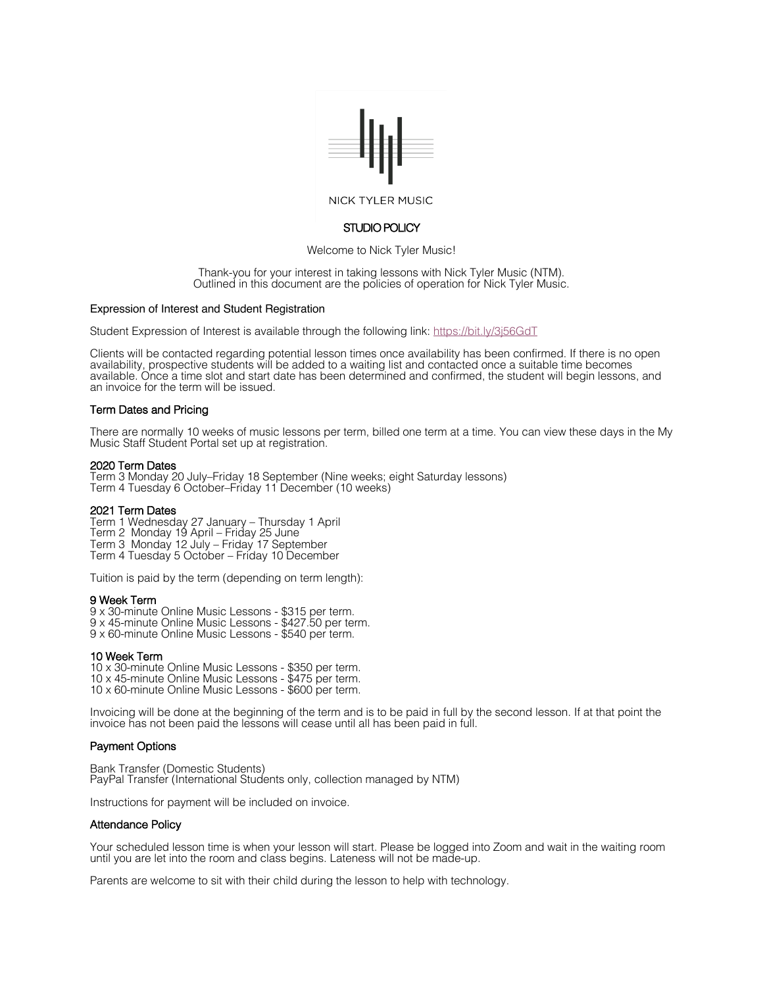

# NICK TYLER MUSIC

# STUDIO POLICY

## Welcome to Nick Tyler Music!

Thank-you for your interest in taking lessons with Nick Tyler Music (NTM). Outlined in this document are the policies of operation for Nick Tyler Music.

#### Expression of Interest and Student Registration

Student Expression of Interest is available through the following link: https://bit.ly/3j56GdT

Clients will be contacted regarding potential lesson times once availability has been confirmed. If there is no open availability, prospective students will be added to a waiting list and contacted once a suitable time becomes available. Once a time slot and start date has been determined and confirmed, the student will begin lessons, and an invoice for the term will be issued.

## Term Dates and Pricing

There are normally 10 weeks of music lessons per term, billed one term at a time. You can view these days in the My Music Staff Student Portal set up at registration.

#### 2020 Term Dates

Term 3 Monday 20 July–Friday 18 September (Nine weeks; eight Saturday lessons) Term 4 Tuesday 6 October–Friday 11 December (10 weeks)

## 2021 Term Dates

Term 1 Wednesday 27 January – Thursday 1 April Term 2 Monday 19 April – Friday 25 June Term 3 Monday 12 July – Friday 17 September Term 4 Tuesday 5 October – Friday 10 December

Tuition is paid by the term (depending on term length):

#### 9 Week Term

9 x 30-minute Online Music Lessons - \$315 per term. 9 x 45-minute Online Music Lessons - \$427.50 per term. 9 x 60-minute Online Music Lessons - \$540 per term.

#### 10 Week Term

10 x 30-minute Online Music Lessons - \$350 per term. 10 x 45-minute Online Music Lessons - \$475 per term. 10 x 60-minute Online Music Lessons - \$600 per term.

Invoicing will be done at the beginning of the term and is to be paid in full by the second lesson. If at that point the invoice has not been paid the lessons will cease until all has been paid in full.

## Payment Options

Bank Transfer (Domestic Students) PayPal Transfer (International Students only, collection managed by NTM)

Instructions for payment will be included on invoice.

## Attendance Policy

Your scheduled lesson time is when your lesson will start. Please be logged into Zoom and wait in the waiting room until you are let into the room and class begins. Lateness will not be made-up.

Parents are welcome to sit with their child during the lesson to help with technology.